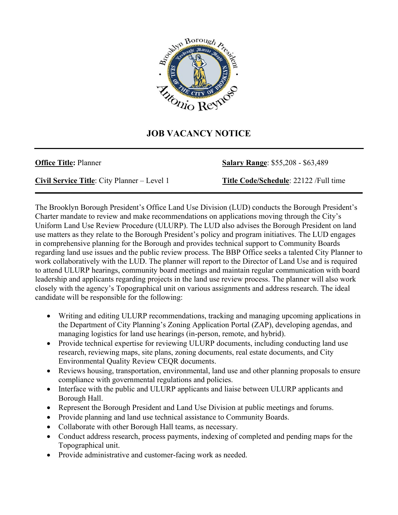

## **JOB VACANCY NOTICE**

**\_\_\_\_\_\_\_\_\_\_\_\_\_\_\_\_\_\_\_\_\_\_\_\_\_\_\_\_\_\_\_\_\_\_\_\_\_\_\_\_\_\_\_\_\_\_\_\_\_\_\_\_\_\_\_\_\_\_\_\_\_\_\_\_\_\_\_\_\_\_\_\_\_\_\_\_\_\_\_\_\_\_\_\_** 

**Office Title:** Planner **Salary Range**: \$55,208 - \$63,489

**Civil Service Title**: City Planner – Level 1 **Title Code/Schedule**: 22122 /Full time

The Brooklyn Borough President's Office Land Use Division (LUD) conducts the Borough President's Charter mandate to review and make recommendations on applications moving through the City's Uniform Land Use Review Procedure (ULURP). The LUD also advises the Borough President on land use matters as they relate to the Borough President's policy and program initiatives. The LUD engages in comprehensive planning for the Borough and provides technical support to Community Boards regarding land use issues and the public review process. The BBP Office seeks a talented City Planner to work collaboratively with the LUD. The planner will report to the Director of Land Use and is required to attend ULURP hearings, community board meetings and maintain regular communication with board leadership and applicants regarding projects in the land use review process. The planner will also work closely with the agency's Topographical unit on various assignments and address research. The ideal candidate will be responsible for the following:

- Writing and editing ULURP recommendations, tracking and managing upcoming applications in the Department of City Planning's Zoning Application Portal (ZAP), developing agendas, and managing logistics for land use hearings (in-person, remote, and hybrid).
- Provide technical expertise for reviewing ULURP documents, including conducting land use research, reviewing maps, site plans, zoning documents, real estate documents, and City Environmental Quality Review CEQR documents.
- Reviews housing, transportation, environmental, land use and other planning proposals to ensure compliance with governmental regulations and policies.
- Interface with the public and ULURP applicants and liaise between ULURP applicants and Borough Hall.
- Represent the Borough President and Land Use Division at public meetings and forums.
- Provide planning and land use technical assistance to Community Boards.
- Collaborate with other Borough Hall teams, as necessary.
- Conduct address research, process payments, indexing of completed and pending maps for the Topographical unit.
- Provide administrative and customer-facing work as needed.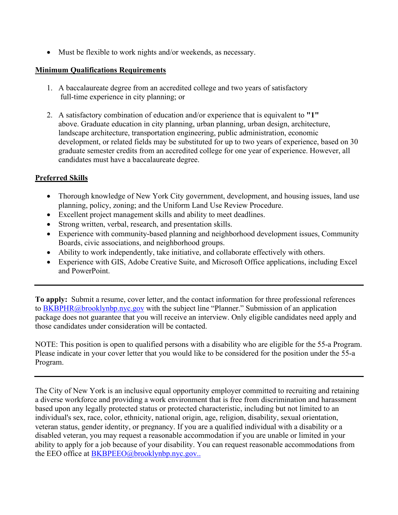• Must be flexible to work nights and/or weekends, as necessary.

## **Minimum Qualifications Requirements**

- 1. A baccalaureate degree from an accredited college and two years of satisfactory full-time experience in city planning; or
- 2. A satisfactory combination of education and/or experience that is equivalent to **"1"** above. Graduate education in city planning, urban planning, urban design, architecture, landscape architecture, transportation engineering, public administration, economic development, or related fields may be substituted for up to two years of experience, based on 30 graduate semester credits from an accredited college for one year of experience. However, all candidates must have a baccalaureate degree.

## **Preferred Skills**

- Thorough knowledge of New York City government, development, and housing issues, land use planning, policy, zoning; and the Uniform Land Use Review Procedure.
- Excellent project management skills and ability to meet deadlines.
- Strong written, verbal, research, and presentation skills.
- Experience with community-based planning and neighborhood development issues, Community Boards, civic associations, and neighborhood groups.
- Ability to work independently, take initiative, and collaborate effectively with others.
- Experience with GIS, Adobe Creative Suite, and Microsoft Office applications, including Excel and PowerPoint.

**To apply:** Submit a resume, cover letter, and the contact information for three professional references to [BKBPHR@brooklynbp.nyc.gov](mailto:HR@brooklynbp.nyc.gov) with the subject line "Planner." Submission of an application package does not guarantee that you will receive an interview. Only eligible candidates need apply and those candidates under consideration will be contacted.

NOTE: This position is open to qualified persons with a disability who are eligible for the 55-a Program. Please indicate in your cover letter that you would like to be considered for the position under the 55-a Program.

The City of New York is an inclusive equal opportunity employer committed to recruiting and retaining a diverse workforce and providing a work environment that is free from discrimination and harassment based upon any legally protected status or protected characteristic, including but not limited to an individual's sex, race, color, ethnicity, national origin, age, religion, disability, sexual orientation, veteran status, gender identity, or pregnancy. If you are a qualified individual with a disability or a disabled veteran, you may request a reasonable accommodation if you are unable or limited in your ability to apply for a job because of your disability. You can request reasonable accommodations from the EEO office at **BKBPEEO@brooklynbp.nyc.gov..**